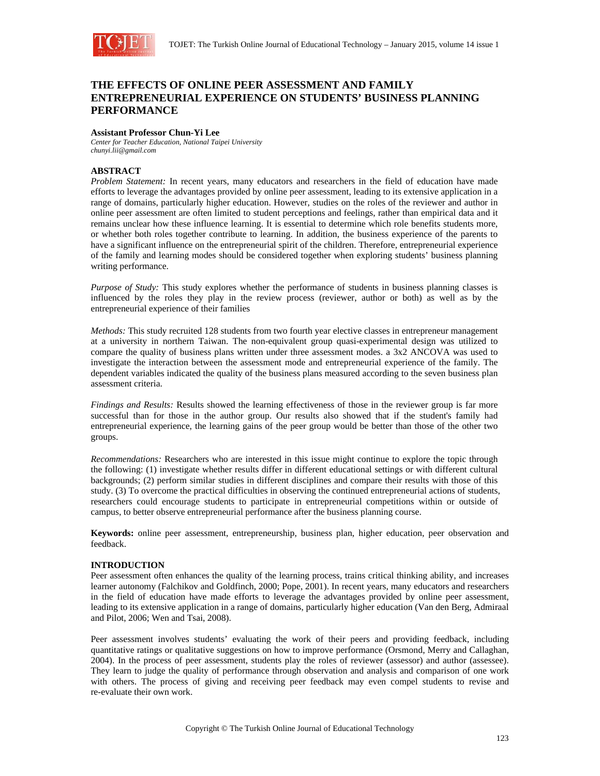

# **THE EFFECTS OF ONLINE PEER ASSESSMENT AND FAMILY ENTREPRENEURIAL EXPERIENCE ON STUDENTS' BUSINESS PLANNING PERFORMANCE**

## **Assistant Professor Chun-Yi Lee**

*Center for Teacher Education, National Taipei University chunyi.lii@gmail.com* 

# **ABSTRACT**

*Problem Statement:* In recent years, many educators and researchers in the field of education have made efforts to leverage the advantages provided by online peer assessment, leading to its extensive application in a range of domains, particularly higher education. However, studies on the roles of the reviewer and author in online peer assessment are often limited to student perceptions and feelings, rather than empirical data and it remains unclear how these influence learning. It is essential to determine which role benefits students more, or whether both roles together contribute to learning. In addition, the business experience of the parents to have a significant influence on the entrepreneurial spirit of the children. Therefore, entrepreneurial experience of the family and learning modes should be considered together when exploring students' business planning writing performance.

*Purpose of Study:* This study explores whether the performance of students in business planning classes is influenced by the roles they play in the review process (reviewer, author or both) as well as by the entrepreneurial experience of their families

*Methods:* This study recruited 128 students from two fourth year elective classes in entrepreneur management at a university in northern Taiwan. The non-equivalent group quasi-experimental design was utilized to compare the quality of business plans written under three assessment modes. a 3x2 ANCOVA was used to investigate the interaction between the assessment mode and entrepreneurial experience of the family. The dependent variables indicated the quality of the business plans measured according to the seven business plan assessment criteria.

*Findings and Results:* Results showed the learning effectiveness of those in the reviewer group is far more successful than for those in the author group. Our results also showed that if the student's family had entrepreneurial experience, the learning gains of the peer group would be better than those of the other two groups.

*Recommendations:* Researchers who are interested in this issue might continue to explore the topic through the following: (1) investigate whether results differ in different educational settings or with different cultural backgrounds; (2) perform similar studies in different disciplines and compare their results with those of this study. (3) To overcome the practical difficulties in observing the continued entrepreneurial actions of students, researchers could encourage students to participate in entrepreneurial competitions within or outside of campus, to better observe entrepreneurial performance after the business planning course.

**Keywords:** online peer assessment, entrepreneurship, business plan, higher education, peer observation and feedback.

# **INTRODUCTION**

Peer assessment often enhances the quality of the learning process, trains critical thinking ability, and increases learner autonomy (Falchikov and Goldfinch, 2000; Pope, 2001). In recent years, many educators and researchers in the field of education have made efforts to leverage the advantages provided by online peer assessment, leading to its extensive application in a range of domains, particularly higher education (Van den Berg, Admiraal and Pilot, 2006; Wen and Tsai, 2008).

Peer assessment involves students' evaluating the work of their peers and providing feedback, including quantitative ratings or qualitative suggestions on how to improve performance (Orsmond, Merry and Callaghan, 2004). In the process of peer assessment, students play the roles of reviewer (assessor) and author (assessee). They learn to judge the quality of performance through observation and analysis and comparison of one work with others. The process of giving and receiving peer feedback may even compel students to revise and re-evaluate their own work.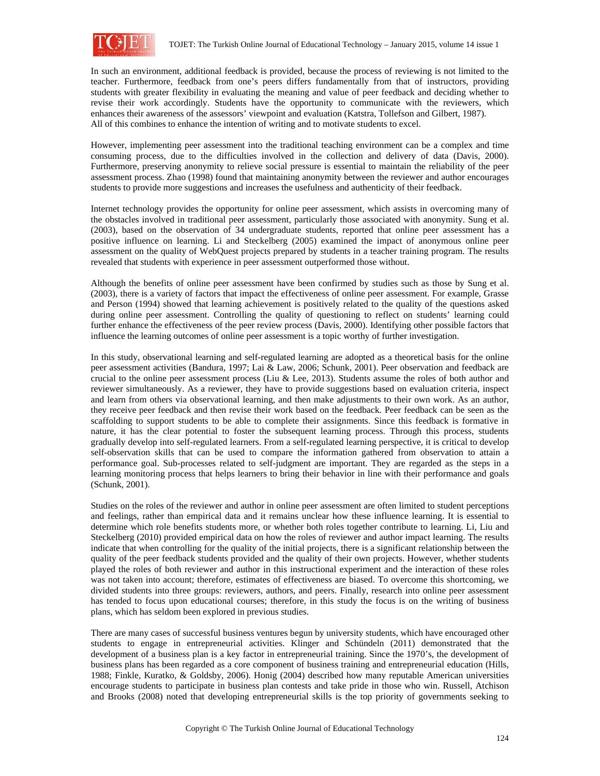

In such an environment, additional feedback is provided, because the process of reviewing is not limited to the teacher. Furthermore, feedback from one's peers differs fundamentally from that of instructors, providing students with greater flexibility in evaluating the meaning and value of peer feedback and deciding whether to revise their work accordingly. Students have the opportunity to communicate with the reviewers, which enhances their awareness of the assessors' viewpoint and evaluation (Katstra, Tollefson and Gilbert, 1987). All of this combines to enhance the intention of writing and to motivate students to excel.

However, implementing peer assessment into the traditional teaching environment can be a complex and time consuming process, due to the difficulties involved in the collection and delivery of data (Davis, 2000). Furthermore, preserving anonymity to relieve social pressure is essential to maintain the reliability of the peer assessment process. Zhao (1998) found that maintaining anonymity between the reviewer and author encourages students to provide more suggestions and increases the usefulness and authenticity of their feedback.

Internet technology provides the opportunity for online peer assessment, which assists in overcoming many of the obstacles involved in traditional peer assessment, particularly those associated with anonymity. Sung et al. (2003), based on the observation of 34 undergraduate students, reported that online peer assessment has a positive influence on learning. Li and Steckelberg (2005) examined the impact of anonymous online peer assessment on the quality of WebQuest projects prepared by students in a teacher training program. The results revealed that students with experience in peer assessment outperformed those without.

Although the benefits of online peer assessment have been confirmed by studies such as those by Sung et al. (2003), there is a variety of factors that impact the effectiveness of online peer assessment. For example, Grasse and Person (1994) showed that learning achievement is positively related to the quality of the questions asked during online peer assessment. Controlling the quality of questioning to reflect on students' learning could further enhance the effectiveness of the peer review process (Davis, 2000). Identifying other possible factors that influence the learning outcomes of online peer assessment is a topic worthy of further investigation.

In this study, observational learning and self-regulated learning are adopted as a theoretical basis for the online peer assessment activities (Bandura, 1997; Lai & Law, 2006; Schunk, 2001). Peer observation and feedback are crucial to the online peer assessment process (Liu & Lee, 2013). Students assume the roles of both author and reviewer simultaneously. As a reviewer, they have to provide suggestions based on evaluation criteria, inspect and learn from others via observational learning, and then make adjustments to their own work. As an author, they receive peer feedback and then revise their work based on the feedback. Peer feedback can be seen as the scaffolding to support students to be able to complete their assignments. Since this feedback is formative in nature, it has the clear potential to foster the subsequent learning process. Through this process, students gradually develop into self-regulated learners. From a self-regulated learning perspective, it is critical to develop self-observation skills that can be used to compare the information gathered from observation to attain a performance goal. Sub-processes related to self-judgment are important. They are regarded as the steps in a learning monitoring process that helps learners to bring their behavior in line with their performance and goals (Schunk, 2001).

Studies on the roles of the reviewer and author in online peer assessment are often limited to student perceptions and feelings, rather than empirical data and it remains unclear how these influence learning. It is essential to determine which role benefits students more, or whether both roles together contribute to learning. Li, Liu and Steckelberg (2010) provided empirical data on how the roles of reviewer and author impact learning. The results indicate that when controlling for the quality of the initial projects, there is a significant relationship between the quality of the peer feedback students provided and the quality of their own projects. However, whether students played the roles of both reviewer and author in this instructional experiment and the interaction of these roles was not taken into account; therefore, estimates of effectiveness are biased. To overcome this shortcoming, we divided students into three groups: reviewers, authors, and peers. Finally, research into online peer assessment has tended to focus upon educational courses; therefore, in this study the focus is on the writing of business plans, which has seldom been explored in previous studies.

There are many cases of successful business ventures begun by university students, which have encouraged other students to engage in entrepreneurial activities. Klinger and Schündeln (2011) demonstrated that the development of a business plan is a key factor in entrepreneurial training. Since the 1970's, the development of business plans has been regarded as a core component of business training and entrepreneurial education (Hills, 1988; Finkle, Kuratko, & Goldsby, 2006). Honig (2004) described how many reputable American universities encourage students to participate in business plan contests and take pride in those who win. Russell, Atchison and Brooks (2008) noted that developing entrepreneurial skills is the top priority of governments seeking to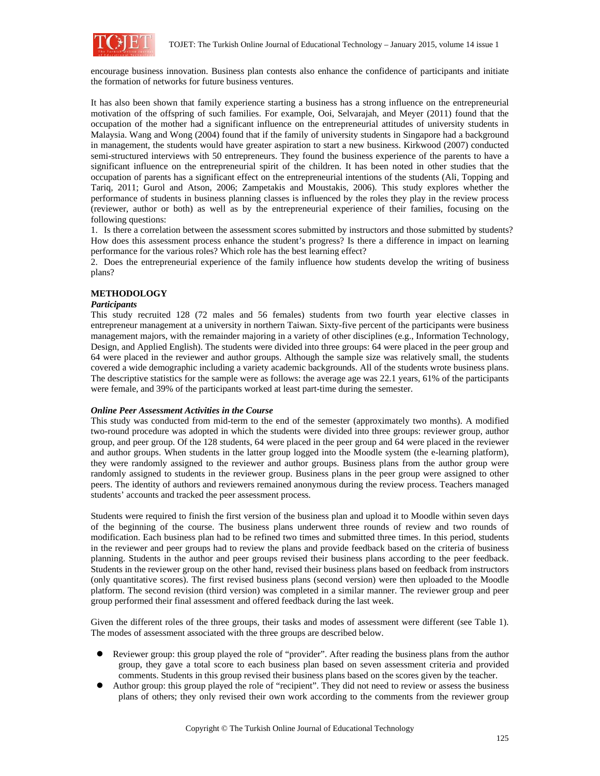

encourage business innovation. Business plan contests also enhance the confidence of participants and initiate the formation of networks for future business ventures.

It has also been shown that family experience starting a business has a strong influence on the entrepreneurial motivation of the offspring of such families. For example, Ooi, Selvarajah, and Meyer (2011) found that the occupation of the mother had a significant influence on the entrepreneurial attitudes of university students in Malaysia. Wang and Wong (2004) found that if the family of university students in Singapore had a background in management, the students would have greater aspiration to start a new business. Kirkwood (2007) conducted semi-structured interviews with 50 entrepreneurs. They found the business experience of the parents to have a significant influence on the entrepreneurial spirit of the children. It has been noted in other studies that the occupation of parents has a significant effect on the entrepreneurial intentions of the students (Ali, Topping and Tariq, 2011; Gurol and Atson, 2006; Zampetakis and Moustakis, 2006). This study explores whether the performance of students in business planning classes is influenced by the roles they play in the review process (reviewer, author or both) as well as by the entrepreneurial experience of their families, focusing on the following questions:

1. Is there a correlation between the assessment scores submitted by instructors and those submitted by students? How does this assessment process enhance the student's progress? Is there a difference in impact on learning performance for the various roles? Which role has the best learning effect?

2. Does the entrepreneurial experience of the family influence how students develop the writing of business plans?

## **METHODOLOGY**

### *Participants*

This study recruited 128 (72 males and 56 females) students from two fourth year elective classes in entrepreneur management at a university in northern Taiwan. Sixty-five percent of the participants were business management majors, with the remainder majoring in a variety of other disciplines (e.g., Information Technology, Design, and Applied English). The students were divided into three groups: 64 were placed in the peer group and 64 were placed in the reviewer and author groups. Although the sample size was relatively small, the students covered a wide demographic including a variety academic backgrounds. All of the students wrote business plans. The descriptive statistics for the sample were as follows: the average age was 22.1 years, 61% of the participants were female, and 39% of the participants worked at least part-time during the semester.

### *Online Peer Assessment Activities in the Course*

This study was conducted from mid-term to the end of the semester (approximately two months). A modified two-round procedure was adopted in which the students were divided into three groups: reviewer group, author group, and peer group. Of the 128 students, 64 were placed in the peer group and 64 were placed in the reviewer and author groups. When students in the latter group logged into the Moodle system (the e-learning platform), they were randomly assigned to the reviewer and author groups. Business plans from the author group were randomly assigned to students in the reviewer group. Business plans in the peer group were assigned to other peers. The identity of authors and reviewers remained anonymous during the review process. Teachers managed students' accounts and tracked the peer assessment process.

Students were required to finish the first version of the business plan and upload it to Moodle within seven days of the beginning of the course. The business plans underwent three rounds of review and two rounds of modification. Each business plan had to be refined two times and submitted three times. In this period, students in the reviewer and peer groups had to review the plans and provide feedback based on the criteria of business planning. Students in the author and peer groups revised their business plans according to the peer feedback. Students in the reviewer group on the other hand, revised their business plans based on feedback from instructors (only quantitative scores). The first revised business plans (second version) were then uploaded to the Moodle platform. The second revision (third version) was completed in a similar manner. The reviewer group and peer group performed their final assessment and offered feedback during the last week.

Given the different roles of the three groups, their tasks and modes of assessment were different (see Table 1). The modes of assessment associated with the three groups are described below.

- Reviewer group: this group played the role of "provider". After reading the business plans from the author group, they gave a total score to each business plan based on seven assessment criteria and provided comments. Students in this group revised their business plans based on the scores given by the teacher.
- z Author group: this group played the role of "recipient". They did not need to review or assess the business plans of others; they only revised their own work according to the comments from the reviewer group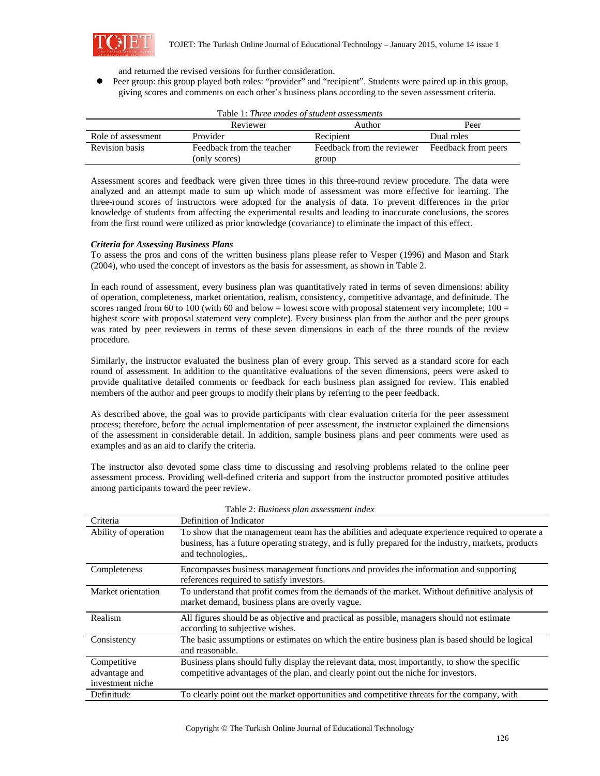

and returned the revised versions for further consideration.

Peer group: this group played both roles: "provider" and "recipient". Students were paired up in this group, giving scores and comments on each other's business plans according to the seven assessment criteria.

| Table 1: Three modes of student assessments |                           |                            |                     |  |  |  |
|---------------------------------------------|---------------------------|----------------------------|---------------------|--|--|--|
| Author<br>Reviewer<br>Peer                  |                           |                            |                     |  |  |  |
| Role of assessment                          | Provider                  | Recipient                  | Dual roles          |  |  |  |
| <b>Revision basis</b>                       | Feedback from the teacher | Feedback from the reviewer | Feedback from peers |  |  |  |
|                                             | (only scores)             | group                      |                     |  |  |  |

Assessment scores and feedback were given three times in this three-round review procedure. The data were analyzed and an attempt made to sum up which mode of assessment was more effective for learning. The three-round scores of instructors were adopted for the analysis of data. To prevent differences in the prior knowledge of students from affecting the experimental results and leading to inaccurate conclusions, the scores from the first round were utilized as prior knowledge (covariance) to eliminate the impact of this effect.

# *Criteria for Assessing Business Plans*

To assess the pros and cons of the written business plans please refer to Vesper (1996) and Mason and Stark (2004), who used the concept of investors as the basis for assessment, as shown in Table 2.

In each round of assessment, every business plan was quantitatively rated in terms of seven dimensions: ability of operation, completeness, market orientation, realism, consistency, competitive advantage, and definitude. The scores ranged from 60 to 100 (with 60 and below = lowest score with proposal statement very incomplete;  $100 =$ highest score with proposal statement very complete). Every business plan from the author and the peer groups was rated by peer reviewers in terms of these seven dimensions in each of the three rounds of the review procedure.

Similarly, the instructor evaluated the business plan of every group. This served as a standard score for each round of assessment. In addition to the quantitative evaluations of the seven dimensions, peers were asked to provide qualitative detailed comments or feedback for each business plan assigned for review. This enabled members of the author and peer groups to modify their plans by referring to the peer feedback.

As described above, the goal was to provide participants with clear evaluation criteria for the peer assessment process; therefore, before the actual implementation of peer assessment, the instructor explained the dimensions of the assessment in considerable detail. In addition, sample business plans and peer comments were used as examples and as an aid to clarify the criteria.

The instructor also devoted some class time to discussing and resolving problems related to the online peer assessment process. Providing well-defined criteria and support from the instructor promoted positive attitudes among participants toward the peer review.

|                                                  | Table 2. Dusiness plun ussessment index                                                                                                                                                                                      |
|--------------------------------------------------|------------------------------------------------------------------------------------------------------------------------------------------------------------------------------------------------------------------------------|
| Criteria                                         | Definition of Indicator                                                                                                                                                                                                      |
| Ability of operation                             | To show that the management team has the abilities and adequate experience required to operate a<br>business, has a future operating strategy, and is fully prepared for the industry, markets, products<br>and technologies |
| Completeness                                     | Encompasses business management functions and provides the information and supporting<br>references required to satisfy investors.                                                                                           |
| Market orientation                               | To understand that profit comes from the demands of the market. Without definitive analysis of<br>market demand, business plans are overly vague.                                                                            |
| Realism                                          | All figures should be as objective and practical as possible, managers should not estimate<br>according to subjective wishes.                                                                                                |
| Consistency                                      | The basic assumptions or estimates on which the entire business plan is based should be logical<br>and reasonable.                                                                                                           |
| Competitive<br>advantage and<br>investment niche | Business plans should fully display the relevant data, most importantly, to show the specific<br>competitive advantages of the plan, and clearly point out the niche for investors.                                          |
| Definitude                                       | To clearly point out the market opportunities and competitive threats for the company, with                                                                                                                                  |

| Table 2: Business plan assessment index |
|-----------------------------------------|
|                                         |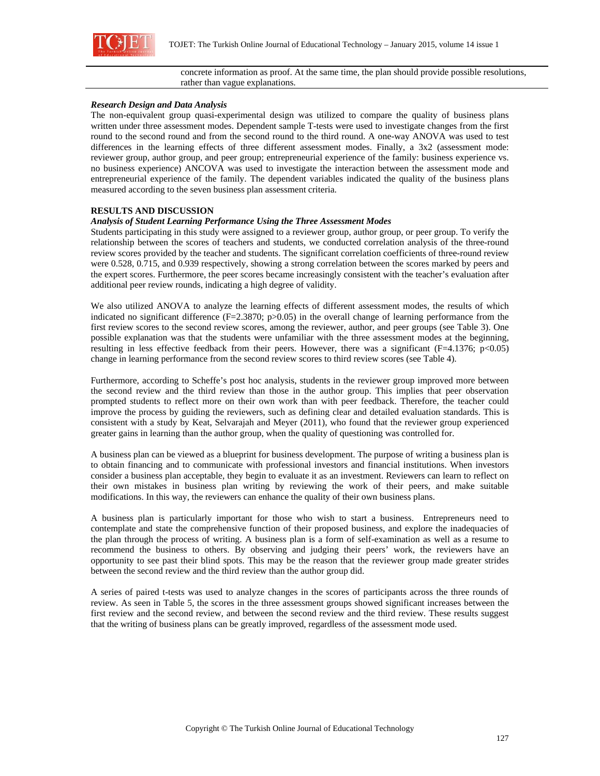

### concrete information as proof. At the same time, the plan should provide possible resolutions, rather than vague explanations.

## *Research Design and Data Analysis*

The non-equivalent group quasi-experimental design was utilized to compare the quality of business plans written under three assessment modes. Dependent sample T-tests were used to investigate changes from the first round to the second round and from the second round to the third round. A one-way ANOVA was used to test differences in the learning effects of three different assessment modes. Finally, a 3x2 (assessment mode: reviewer group, author group, and peer group; entrepreneurial experience of the family: business experience vs. no business experience) ANCOVA was used to investigate the interaction between the assessment mode and entrepreneurial experience of the family. The dependent variables indicated the quality of the business plans measured according to the seven business plan assessment criteria.

# **RESULTS AND DISCUSSION**

## *Analysis of Student Learning Performance Using the Three Assessment Modes*

Students participating in this study were assigned to a reviewer group, author group, or peer group. To verify the relationship between the scores of teachers and students, we conducted correlation analysis of the three-round review scores provided by the teacher and students. The significant correlation coefficients of three-round review were 0.528, 0.715, and 0.939 respectively, showing a strong correlation between the scores marked by peers and the expert scores. Furthermore, the peer scores became increasingly consistent with the teacher's evaluation after additional peer review rounds, indicating a high degree of validity.

We also utilized ANOVA to analyze the learning effects of different assessment modes, the results of which indicated no significant difference  $(F=2.3870; p>0.05)$  in the overall change of learning performance from the first review scores to the second review scores, among the reviewer, author, and peer groups (see Table 3). One possible explanation was that the students were unfamiliar with the three assessment modes at the beginning, resulting in less effective feedback from their peers. However, there was a significant (F=4.1376; p<0.05) change in learning performance from the second review scores to third review scores (see Table 4).

Furthermore, according to Scheffe's post hoc analysis, students in the reviewer group improved more between the second review and the third review than those in the author group. This implies that peer observation prompted students to reflect more on their own work than with peer feedback. Therefore, the teacher could improve the process by guiding the reviewers, such as defining clear and detailed evaluation standards. This is consistent with a study by Keat, Selvarajah and Meyer (2011), who found that the reviewer group experienced greater gains in learning than the author group, when the quality of questioning was controlled for.

A business plan can be viewed as a blueprint for business development. The purpose of writing a business plan is to obtain financing and to communicate with professional investors and financial institutions. When investors consider a business plan acceptable, they begin to evaluate it as an investment. Reviewers can learn to reflect on their own mistakes in business plan writing by reviewing the work of their peers, and make suitable modifications. In this way, the reviewers can enhance the quality of their own business plans.

A business plan is particularly important for those who wish to start a business. Entrepreneurs need to contemplate and state the comprehensive function of their proposed business, and explore the inadequacies of the plan through the process of writing. A business plan is a form of self-examination as well as a resume to recommend the business to others. By observing and judging their peers' work, the reviewers have an opportunity to see past their blind spots. This may be the reason that the reviewer group made greater strides between the second review and the third review than the author group did.

A series of paired t-tests was used to analyze changes in the scores of participants across the three rounds of review. As seen in Table 5, the scores in the three assessment groups showed significant increases between the first review and the second review, and between the second review and the third review. These results suggest that the writing of business plans can be greatly improved, regardless of the assessment mode used.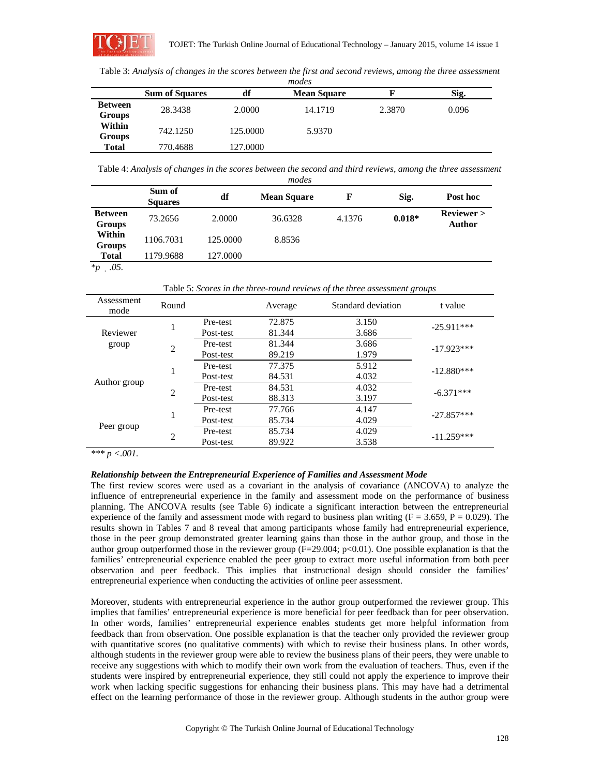

Table 3: *Analysis of changes in the scores between the first and second reviews, among the three assessment* 

| modes                           |                       |          |                    |        |       |  |
|---------------------------------|-----------------------|----------|--------------------|--------|-------|--|
|                                 | <b>Sum of Squares</b> | df       | <b>Mean Square</b> | F      | Sig.  |  |
| <b>Between</b><br><b>Groups</b> | 28.3438               | 2.0000   | 14.1719            | 2.3870 | 0.096 |  |
| Within<br><b>Groups</b>         | 742.1250              | 125,0000 | 5.9370             |        |       |  |
| <b>Total</b>                    | 770.4688              | 127.0000 |                    |        |       |  |

Table 4: *Analysis of changes in the scores between the second and third reviews, among the three assessment* 

| modes                                   |                          |          |                    |        |          |                             |
|-----------------------------------------|--------------------------|----------|--------------------|--------|----------|-----------------------------|
|                                         | Sum of<br><b>Squares</b> | df       | <b>Mean Square</b> | F      | Sig.     | Post hoc                    |
| <b>Between</b><br><b>Groups</b>         | 73.2656                  | 2.0000   | 36.6328            | 4.1376 | $0.018*$ | <b>Reviewer</b> ><br>Author |
| Within<br>Groups                        | 1106.7031                | 125,0000 | 8.8536             |        |          |                             |
| Total<br>$\Delta$<br>$\Lambda$ $\Gamma$ | 1179.9688                | 127,0000 |                    |        |          |                             |

*\*p .05.* 

Table 5: *Scores in the three-round reviews of the three assessment groups* 

| Assessment<br>mode | Round                       |           | Average | Standard deviation | t value      |  |
|--------------------|-----------------------------|-----------|---------|--------------------|--------------|--|
|                    |                             | Pre-test  | 72.875  | 3.150              | $-25.911***$ |  |
| Reviewer           |                             | Post-test | 81.344  | 3.686              |              |  |
| group              | $\mathcal{D}_{\mathcal{L}}$ | Pre-test  | 81.344  | 3.686              | $-17.923***$ |  |
|                    |                             | Post-test | 89.219  | 1.979              |              |  |
| Author group       |                             | Pre-test  | 77.375  | 5.912              |              |  |
|                    |                             | Post-test | 84.531  | 4.032              | $-12.880***$ |  |
|                    | $\overline{c}$              | Pre-test  | 84.531  | 4.032              | $-6.371***$  |  |
|                    |                             | Post-test | 88.313  | 3.197              |              |  |
| Peer group         |                             | Pre-test  | 77.766  | 4.147              | $-27.857***$ |  |
|                    |                             | Post-test | 85.734  | 4.029              |              |  |
|                    | 2                           | Pre-test  | 85.734  | 4.029              | $-11.259***$ |  |
|                    |                             | Post-test | 89.922  | 3.538              |              |  |

*\*\*\* p <.001.*

# *Relationship between the Entrepreneurial Experience of Families and Assessment Mode*

The first review scores were used as a covariant in the analysis of covariance (ANCOVA) to analyze the influence of entrepreneurial experience in the family and assessment mode on the performance of business planning. The ANCOVA results (see Table 6) indicate a significant interaction between the entrepreneurial experience of the family and assessment mode with regard to business plan writing ( $F = 3.659$ ,  $P = 0.029$ ). The results shown in Tables 7 and 8 reveal that among participants whose family had entrepreneurial experience, those in the peer group demonstrated greater learning gains than those in the author group, and those in the author group outperformed those in the reviewer group  $(F=29.004; p<0.01)$ . One possible explanation is that the families' entrepreneurial experience enabled the peer group to extract more useful information from both peer observation and peer feedback. This implies that instructional design should consider the families' entrepreneurial experience when conducting the activities of online peer assessment.

Moreover, students with entrepreneurial experience in the author group outperformed the reviewer group. This implies that families' entrepreneurial experience is more beneficial for peer feedback than for peer observation. In other words, families' entrepreneurial experience enables students get more helpful information from feedback than from observation. One possible explanation is that the teacher only provided the reviewer group with quantitative scores (no qualitative comments) with which to revise their business plans. In other words, although students in the reviewer group were able to review the business plans of their peers, they were unable to receive any suggestions with which to modify their own work from the evaluation of teachers. Thus, even if the students were inspired by entrepreneurial experience, they still could not apply the experience to improve their work when lacking specific suggestions for enhancing their business plans. This may have had a detrimental effect on the learning performance of those in the reviewer group. Although students in the author group were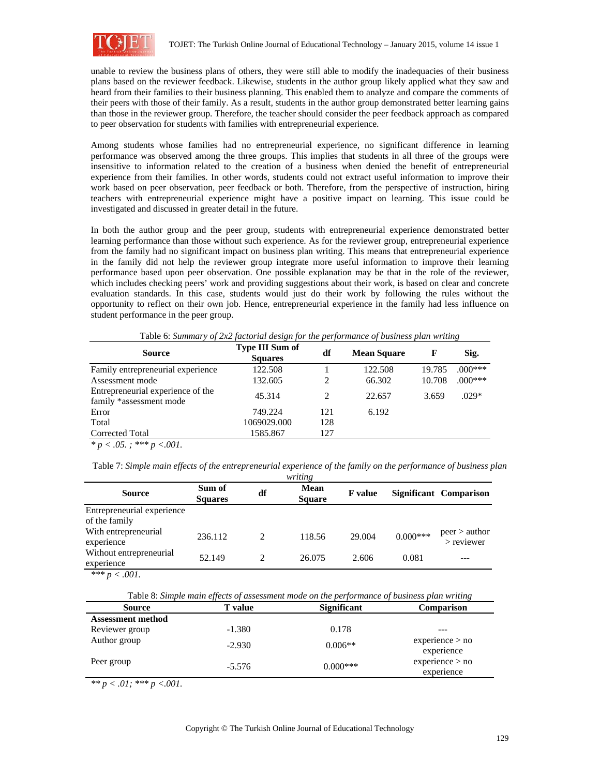

unable to review the business plans of others, they were still able to modify the inadequacies of their business plans based on the reviewer feedback. Likewise, students in the author group likely applied what they saw and heard from their families to their business planning. This enabled them to analyze and compare the comments of their peers with those of their family. As a result, students in the author group demonstrated better learning gains than those in the reviewer group. Therefore, the teacher should consider the peer feedback approach as compared to peer observation for students with families with entrepreneurial experience.

Among students whose families had no entrepreneurial experience, no significant difference in learning performance was observed among the three groups. This implies that students in all three of the groups were insensitive to information related to the creation of a business when denied the benefit of entrepreneurial experience from their families. In other words, students could not extract useful information to improve their work based on peer observation, peer feedback or both. Therefore, from the perspective of instruction, hiring teachers with entrepreneurial experience might have a positive impact on learning. This issue could be investigated and discussed in greater detail in the future.

In both the author group and the peer group, students with entrepreneurial experience demonstrated better learning performance than those without such experience. As for the reviewer group, entrepreneurial experience from the family had no significant impact on business plan writing. This means that entrepreneurial experience in the family did not help the reviewer group integrate more useful information to improve their learning performance based upon peer observation. One possible explanation may be that in the role of the reviewer, which includes checking peers' work and providing suggestions about their work, is based on clear and concrete evaluation standards. In this case, students would just do their work by following the rules without the opportunity to reflect on their own job. Hence, entrepreneurial experience in the family had less influence on student performance in the peer group.

Table 6: *Summary of 2x2 factorial design for the performance of business plan writing* 

| <b>Source</b>                                                | <b>Type III Sum of</b><br><b>Squares</b> | df  | <b>Mean Square</b> | F      | Sig.      |
|--------------------------------------------------------------|------------------------------------------|-----|--------------------|--------|-----------|
| Family entrepreneurial experience                            | 122.508                                  |     | 122.508            | 19.785 | $.000***$ |
| Assessment mode                                              | 132.605                                  | 2   | 66.302             | 10.708 | $.000***$ |
| Entrepreneurial experience of the<br>family *assessment mode | 45.314                                   | 2   | 22.657             | 3.659  | $.029*$   |
| Error                                                        | 749.224                                  | 121 | 6.192              |        |           |
| Total                                                        | 1069029.000                              | 128 |                    |        |           |
| Corrected Total                                              | 1585.867                                 | 127 |                    |        |           |

*\* p < .05. ; \*\*\* p <.001.*

Table 7: *Simple main effects of the entrepreneurial experience of the family on the performance of business plan* 

| writing                                     |                          |                |                              |                |            |                               |
|---------------------------------------------|--------------------------|----------------|------------------------------|----------------|------------|-------------------------------|
| <b>Source</b>                               | Sum of<br><b>Squares</b> | df             | <b>Mean</b><br><b>Square</b> | <b>F</b> value |            | Significant Comparison        |
| Entrepreneurial experience<br>of the family |                          |                |                              |                |            |                               |
| With entrepreneurial<br>experience          | 236.112                  | $\mathfrak{D}$ | 118.56                       | 29,004         | $0.000***$ | peer > author<br>$>$ reviewer |
| Without entrepreneurial<br>experience       | 52.149                   | $\mathfrak{D}$ | 26.075                       | 2.606          | 0.081      |                               |

 $*** p < .001$ .

| Table 8: Simple main effects of assessment mode on the performance of business plan writing |  |
|---------------------------------------------------------------------------------------------|--|
|                                                                                             |  |

| <b>Source</b>            | <b>T</b> value | <b>Significant</b> | <b>Comparison</b>             |
|--------------------------|----------------|--------------------|-------------------------------|
| <b>Assessment method</b> |                |                    |                               |
| Reviewer group           | $-1.380$       | 0.178              |                               |
| Author group             | $-2.930$       | $0.006**$          | experience > no<br>experience |
| Peer group               | $-5.576$       | $0.000***$         | experience > no<br>experience |

*\*\* p < .01; \*\*\* p <.001.*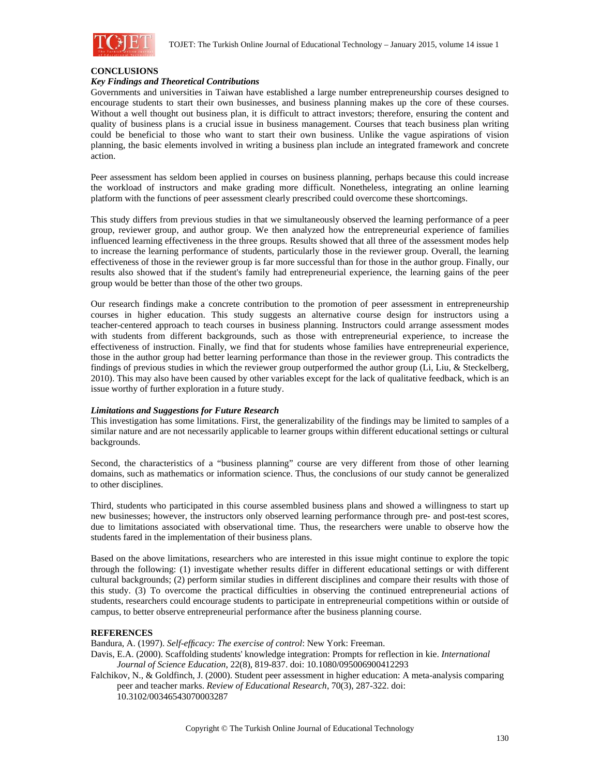

# **CONCLUSIONS**

## *Key Findings and Theoretical Contributions*

Governments and universities in Taiwan have established a large number entrepreneurship courses designed to encourage students to start their own businesses, and business planning makes up the core of these courses. Without a well thought out business plan, it is difficult to attract investors; therefore, ensuring the content and quality of business plans is a crucial issue in business management. Courses that teach business plan writing could be beneficial to those who want to start their own business. Unlike the vague aspirations of vision planning, the basic elements involved in writing a business plan include an integrated framework and concrete action.

Peer assessment has seldom been applied in courses on business planning, perhaps because this could increase the workload of instructors and make grading more difficult. Nonetheless, integrating an online learning platform with the functions of peer assessment clearly prescribed could overcome these shortcomings.

This study differs from previous studies in that we simultaneously observed the learning performance of a peer group, reviewer group, and author group. We then analyzed how the entrepreneurial experience of families influenced learning effectiveness in the three groups. Results showed that all three of the assessment modes help to increase the learning performance of students, particularly those in the reviewer group. Overall, the learning effectiveness of those in the reviewer group is far more successful than for those in the author group. Finally, our results also showed that if the student's family had entrepreneurial experience, the learning gains of the peer group would be better than those of the other two groups.

Our research findings make a concrete contribution to the promotion of peer assessment in entrepreneurship courses in higher education. This study suggests an alternative course design for instructors using a teacher-centered approach to teach courses in business planning. Instructors could arrange assessment modes with students from different backgrounds, such as those with entrepreneurial experience, to increase the effectiveness of instruction. Finally, we find that for students whose families have entrepreneurial experience, those in the author group had better learning performance than those in the reviewer group. This contradicts the findings of previous studies in which the reviewer group outperformed the author group (Li, Liu, & Steckelberg, 2010). This may also have been caused by other variables except for the lack of qualitative feedback, which is an issue worthy of further exploration in a future study.

### *Limitations and Suggestions for Future Research*

This investigation has some limitations. First, the generalizability of the findings may be limited to samples of a similar nature and are not necessarily applicable to learner groups within different educational settings or cultural backgrounds.

Second, the characteristics of a "business planning" course are very different from those of other learning domains, such as mathematics or information science. Thus, the conclusions of our study cannot be generalized to other disciplines.

Third, students who participated in this course assembled business plans and showed a willingness to start up new businesses; however, the instructors only observed learning performance through pre- and post-test scores, due to limitations associated with observational time. Thus, the researchers were unable to observe how the students fared in the implementation of their business plans.

Based on the above limitations, researchers who are interested in this issue might continue to explore the topic through the following: (1) investigate whether results differ in different educational settings or with different cultural backgrounds; (2) perform similar studies in different disciplines and compare their results with those of this study. (3) To overcome the practical difficulties in observing the continued entrepreneurial actions of students, researchers could encourage students to participate in entrepreneurial competitions within or outside of campus, to better observe entrepreneurial performance after the business planning course.

# **REFERENCES**

Bandura, A. (1997). *Self-efficacy: The exercise of control*: New York: Freeman.

Davis, E.A. (2000). Scaffolding students' knowledge integration: Prompts for reflection in kie. *International Journal of Science Education*, 22(8), 819-837. doi: 10.1080/095006900412293

Falchikov, N., & Goldfinch, J. (2000). Student peer assessment in higher education: A meta-analysis comparing peer and teacher marks. *Review of Educational Research*, 70(3), 287-322. doi: 10.3102/00346543070003287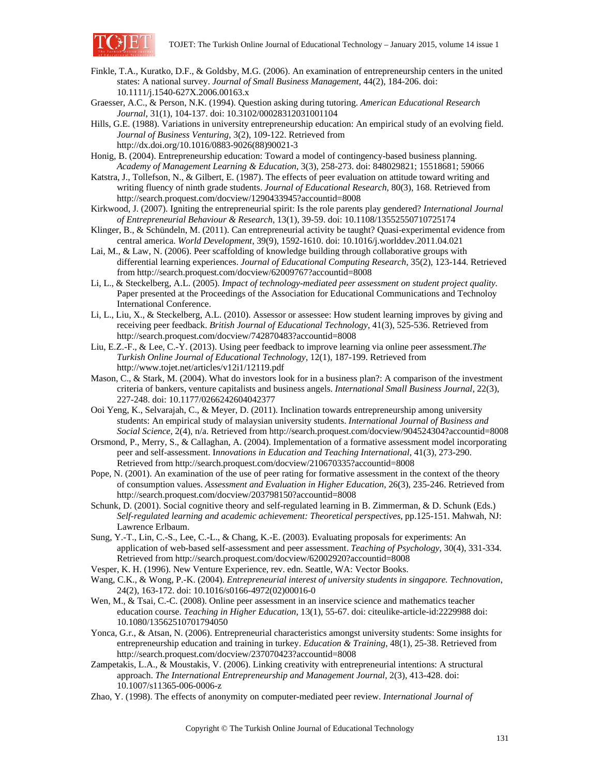

- Finkle, T.A., Kuratko, D.F., & Goldsby, M.G. (2006). An examination of entrepreneurship centers in the united states: A national survey. *Journal of Small Business Management*, 44(2), 184-206. doi: 10.1111/j.1540-627X.2006.00163.x
- Graesser, A.C., & Person, N.K. (1994). Question asking during tutoring. *American Educational Research Journal*, 31(1), 104-137. doi: 10.3102/00028312031001104
- Hills, G.E. (1988). Variations in university entrepreneurship education: An empirical study of an evolving field. *Journal of Business Venturing*, 3(2), 109-122. Retrieved from http://dx.doi.org/10.1016/0883-9026(88)90021-3
- Honig, B. (2004). Entrepreneurship education: Toward a model of contingency-based business planning. *Academy of Management Learning & Education*, 3(3), 258-273. doi: 848029821; 15518681; 59066
- Katstra, J., Tollefson, N., & Gilbert, E. (1987). The effects of peer evaluation on attitude toward writing and writing fluency of ninth grade students. *Journal of Educational Research*, 80(3), 168. Retrieved from http://search.proquest.com/docview/1290433945?accountid=8008
- Kirkwood, J. (2007). Igniting the entrepreneurial spirit: Is the role parents play gendered? *International Journal of Entrepreneurial Behaviour & Research*, 13(1), 39-59. doi: 10.1108/13552550710725174
- Klinger, B., & Schündeln, M. (2011). Can entrepreneurial activity be taught? Quasi-experimental evidence from central america. *World Development*, 39(9), 1592-1610. doi: 10.1016/j.worlddev.2011.04.021
- Lai, M., & Law, N. (2006). Peer scaffolding of knowledge building through collaborative groups with differential learning experiences. *Journal of Educational Computing Research*, 35(2), 123-144. Retrieved from http://search.proquest.com/docview/62009767?accountid=8008
- Li, L., & Steckelberg, A.L. (2005). *Impact of technology-mediated peer assessment on student project quality.* Paper presented at the Proceedings of the Association for Educational Communications and Technoloy International Conference.
- Li, L., Liu, X., & Steckelberg, A.L. (2010). Assessor or assessee: How student learning improves by giving and receiving peer feedback. *British Journal of Educational Technology*, 41(3), 525-536. Retrieved from http://search.proquest.com/docview/742870483?accountid=8008
- Liu, E.Z.-F., & Lee, C.-Y. (2013). Using peer feedback to improve learning via online peer assessment.*The Turkish Online Journal of Educational Technology*, 12(1), 187-199. Retrieved from http://www.tojet.net/articles/v12i1/12119.pdf
- Mason, C., & Stark, M. (2004). What do investors look for in a business plan?: A comparison of the investment criteria of bankers, venture capitalists and business angels. *International Small Business Journal*, 22(3), 227-248. doi: 10.1177/0266242604042377
- Ooi Yeng, K., Selvarajah, C., & Meyer, D. (2011). Inclination towards entrepreneurship among university students: An empirical study of malaysian university students. *International Journal of Business and Social Science*, 2(4), n/a. Retrieved from http://search.proquest.com/docview/904524304?accountid=8008
- Orsmond, P., Merry, S., & Callaghan, A. (2004). Implementation of a formative assessment model incorporating peer and self-assessment. I*nnovations in Education and Teaching International*, 41(3), 273-290. Retrieved from http://search.proquest.com/docview/210670335?accountid=8008
- Pope, N. (2001). An examination of the use of peer rating for formative assessment in the context of the theory of consumption values. *Assessment and Evaluation in Higher Education*, 26(3), 235-246. Retrieved from http://search.proquest.com/docview/203798150?accountid=8008
- Schunk, D. (2001). Social cognitive theory and self-regulated learning in B. Zimmerman, & D. Schunk (Eds.) *Self-regulated learning and academic achievement: Theoretical perspectives*, pp.125-151. Mahwah, NJ: Lawrence Erlbaum.
- Sung, Y.-T., Lin, C.-S., Lee, C.-L., & Chang, K.-E. (2003). Evaluating proposals for experiments: An application of web-based self-assessment and peer assessment. *Teaching of Psychology*, 30(4), 331-334. Retrieved from http://search.proquest.com/docview/62002920?accountid=8008
- Vesper, K. H. (1996). New Venture Experience, rev. edn. Seattle, WA: Vector Books.
- Wang, C.K., & Wong, P.-K. (2004). *Entrepreneurial interest of university students in singapore. Technovation*, 24(2), 163-172. doi: 10.1016/s0166-4972(02)00016-0
- Wen, M., & Tsai, C.-C. (2008). Online peer assessment in an inservice science and mathematics teacher education course. *Teaching in Higher Education*, 13(1), 55-67. doi: citeulike-article-id:2229988 doi: 10.1080/13562510701794050
- Yonca, G.r., & Atsan, N. (2006). Entrepreneurial characteristics amongst university students: Some insights for entrepreneurship education and training in turkey. *Education & Training*, 48(1), 25-38. Retrieved from http://search.proquest.com/docview/237070423?accountid=8008
- Zampetakis, L.A., & Moustakis, V. (2006). Linking creativity with entrepreneurial intentions: A structural approach. *The International Entrepreneurship and Management Journal*, 2(3), 413-428. doi: 10.1007/s11365-006-0006-z
- Zhao, Y. (1998). The effects of anonymity on computer-mediated peer review. *International Journal of*